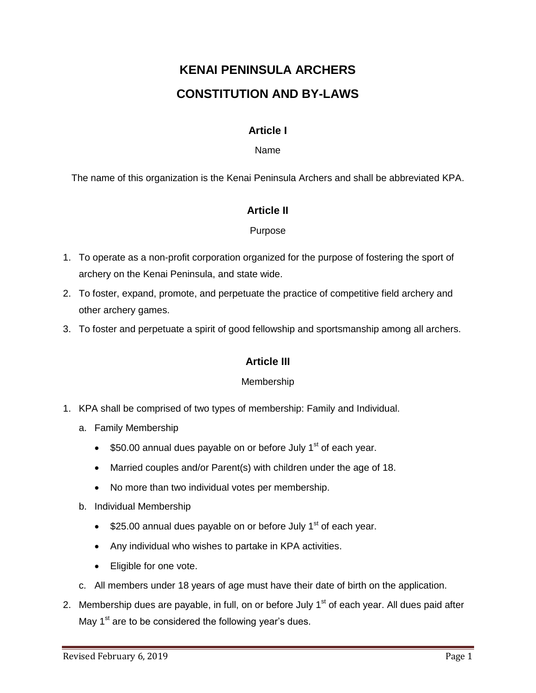# **KENAI PENINSULA ARCHERS CONSTITUTION AND BY-LAWS**

## **Article I**

#### Name

The name of this organization is the Kenai Peninsula Archers and shall be abbreviated KPA.

## **Article II**

#### Purpose

- 1. To operate as a non-profit corporation organized for the purpose of fostering the sport of archery on the Kenai Peninsula, and state wide.
- 2. To foster, expand, promote, and perpetuate the practice of competitive field archery and other archery games.
- 3. To foster and perpetuate a spirit of good fellowship and sportsmanship among all archers.

#### **Article III**

#### Membership

- 1. KPA shall be comprised of two types of membership: Family and Individual.
	- a. Family Membership
		- $\bullet$  \$50.00 annual dues payable on or before July 1<sup>st</sup> of each year.
		- Married couples and/or Parent(s) with children under the age of 18.
		- No more than two individual votes per membership.
	- b. Individual Membership
		- $\bullet$  \$25.00 annual dues payable on or before July 1<sup>st</sup> of each year.
		- Any individual who wishes to partake in KPA activities.
		- Eligible for one vote.
	- c. All members under 18 years of age must have their date of birth on the application.
- 2. Membership dues are payable, in full, on or before July  $1<sup>st</sup>$  of each year. All dues paid after May  $1<sup>st</sup>$  are to be considered the following year's dues.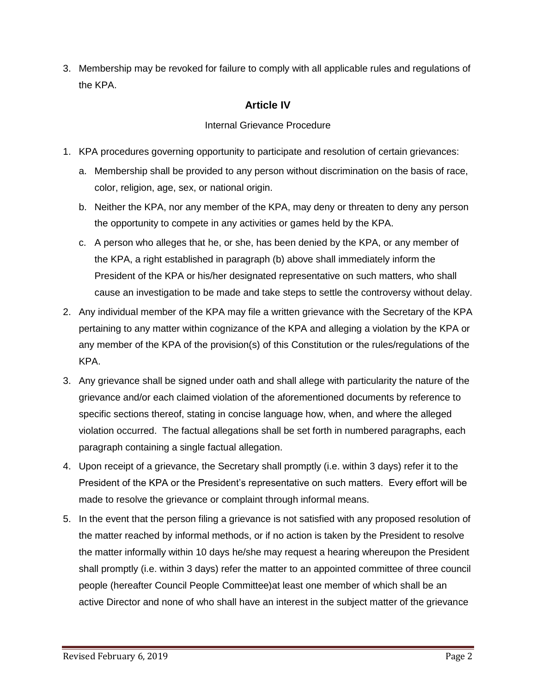3. Membership may be revoked for failure to comply with all applicable rules and regulations of the KPA.

# **Article IV**

## Internal Grievance Procedure

- 1. KPA procedures governing opportunity to participate and resolution of certain grievances:
	- a. Membership shall be provided to any person without discrimination on the basis of race, color, religion, age, sex, or national origin.
	- b. Neither the KPA, nor any member of the KPA, may deny or threaten to deny any person the opportunity to compete in any activities or games held by the KPA.
	- c. A person who alleges that he, or she, has been denied by the KPA, or any member of the KPA, a right established in paragraph (b) above shall immediately inform the President of the KPA or his/her designated representative on such matters, who shall cause an investigation to be made and take steps to settle the controversy without delay.
- 2. Any individual member of the KPA may file a written grievance with the Secretary of the KPA pertaining to any matter within cognizance of the KPA and alleging a violation by the KPA or any member of the KPA of the provision(s) of this Constitution or the rules/regulations of the KPA.
- 3. Any grievance shall be signed under oath and shall allege with particularity the nature of the grievance and/or each claimed violation of the aforementioned documents by reference to specific sections thereof, stating in concise language how, when, and where the alleged violation occurred. The factual allegations shall be set forth in numbered paragraphs, each paragraph containing a single factual allegation.
- 4. Upon receipt of a grievance, the Secretary shall promptly (i.e. within 3 days) refer it to the President of the KPA or the President's representative on such matters. Every effort will be made to resolve the grievance or complaint through informal means.
- 5. In the event that the person filing a grievance is not satisfied with any proposed resolution of the matter reached by informal methods, or if no action is taken by the President to resolve the matter informally within 10 days he/she may request a hearing whereupon the President shall promptly (i.e. within 3 days) refer the matter to an appointed committee of three council people (hereafter Council People Committee)at least one member of which shall be an active Director and none of who shall have an interest in the subject matter of the grievance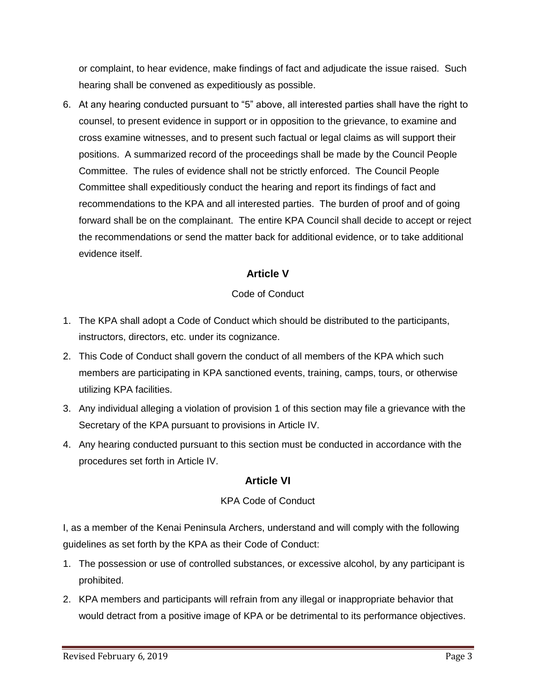or complaint, to hear evidence, make findings of fact and adjudicate the issue raised. Such hearing shall be convened as expeditiously as possible.

6. At any hearing conducted pursuant to "5" above, all interested parties shall have the right to counsel, to present evidence in support or in opposition to the grievance, to examine and cross examine witnesses, and to present such factual or legal claims as will support their positions. A summarized record of the proceedings shall be made by the Council People Committee. The rules of evidence shall not be strictly enforced. The Council People Committee shall expeditiously conduct the hearing and report its findings of fact and recommendations to the KPA and all interested parties. The burden of proof and of going forward shall be on the complainant. The entire KPA Council shall decide to accept or reject the recommendations or send the matter back for additional evidence, or to take additional evidence itself.

# **Article V**

## Code of Conduct

- 1. The KPA shall adopt a Code of Conduct which should be distributed to the participants, instructors, directors, etc. under its cognizance.
- 2. This Code of Conduct shall govern the conduct of all members of the KPA which such members are participating in KPA sanctioned events, training, camps, tours, or otherwise utilizing KPA facilities.
- 3. Any individual alleging a violation of provision 1 of this section may file a grievance with the Secretary of the KPA pursuant to provisions in Article IV.
- 4. Any hearing conducted pursuant to this section must be conducted in accordance with the procedures set forth in Article IV.

## **Article VI**

#### KPA Code of Conduct

I, as a member of the Kenai Peninsula Archers, understand and will comply with the following guidelines as set forth by the KPA as their Code of Conduct:

- 1. The possession or use of controlled substances, or excessive alcohol, by any participant is prohibited.
- 2. KPA members and participants will refrain from any illegal or inappropriate behavior that would detract from a positive image of KPA or be detrimental to its performance objectives.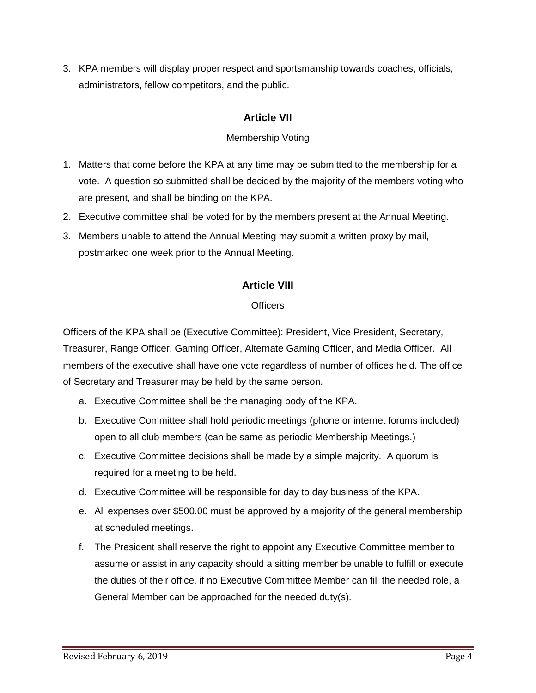3. KPA members will display proper respect and sportsmanship towards coaches, officials, administrators, fellow competitors, and the public.

# **Article VII**

## Membership Voting

- 1. Matters that come before the KPA at any time may be submitted to the membership for a vote. A question so submitted shall be decided by the majority of the members voting who are present, and shall be binding on the KPA.
- 2. Executive committee shall be voted for by the members present at the Annual Meeting.
- 3. Members unable to attend the Annual Meeting may submit a written proxy by mail, postmarked one week prior to the Annual Meeting.

# **Article VIII**

#### **Officers**

Officers of the KPA shall be (Executive Committee): President, Vice President, Secretary, Treasurer, Range Officer, Gaming Officer, Alternate Gaming Officer, and Media Officer. All members of the executive shall have one vote regardless of number of offices held. The office of Secretary and Treasurer may be held by the same person.

- a. Executive Committee shall be the managing body of the KPA.
- b. Executive Committee shall hold periodic meetings (phone or internet forums included) open to all club members (can be same as periodic Membership Meetings.)
- c. Executive Committee decisions shall be made by a simple majority. A quorum is required for a meeting to be held.
- d. Executive Committee will be responsible for day to day business of the KPA.
- e. All expenses over \$500.00 must be approved by a majority of the general membership at scheduled meetings.
- f. The President shall reserve the right to appoint any Executive Committee member to assume or assist in any capacity should a sitting member be unable to fulfill or execute the duties of their office, if no Executive Committee Member can fill the needed role, a General Member can be approached for the needed duty(s).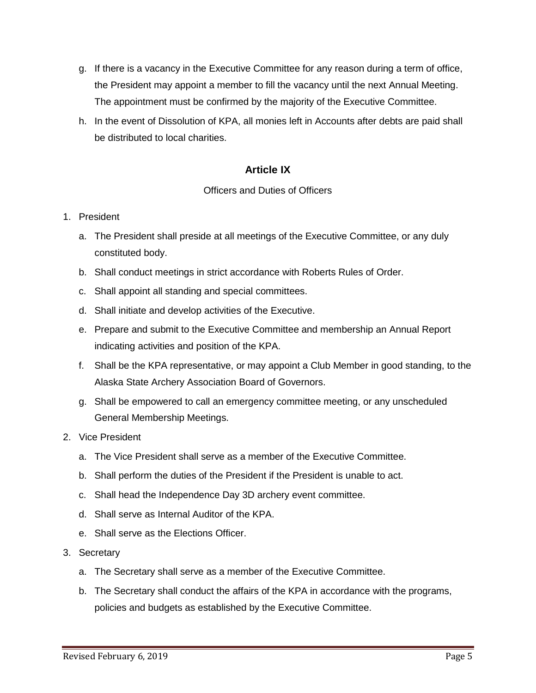- g. If there is a vacancy in the Executive Committee for any reason during a term of office, the President may appoint a member to fill the vacancy until the next Annual Meeting. The appointment must be confirmed by the majority of the Executive Committee.
- h. In the event of Dissolution of KPA, all monies left in Accounts after debts are paid shall be distributed to local charities.

## **Article IX**

#### Officers and Duties of Officers

#### 1. President

- a. The President shall preside at all meetings of the Executive Committee, or any duly constituted body.
- b. Shall conduct meetings in strict accordance with Roberts Rules of Order.
- c. Shall appoint all standing and special committees.
- d. Shall initiate and develop activities of the Executive.
- e. Prepare and submit to the Executive Committee and membership an Annual Report indicating activities and position of the KPA.
- f. Shall be the KPA representative, or may appoint a Club Member in good standing, to the Alaska State Archery Association Board of Governors.
- g. Shall be empowered to call an emergency committee meeting, or any unscheduled General Membership Meetings.
- 2. Vice President
	- a. The Vice President shall serve as a member of the Executive Committee.
	- b. Shall perform the duties of the President if the President is unable to act.
	- c. Shall head the Independence Day 3D archery event committee.
	- d. Shall serve as Internal Auditor of the KPA.
	- e. Shall serve as the Elections Officer.
- 3. Secretary
	- a. The Secretary shall serve as a member of the Executive Committee.
	- b. The Secretary shall conduct the affairs of the KPA in accordance with the programs, policies and budgets as established by the Executive Committee.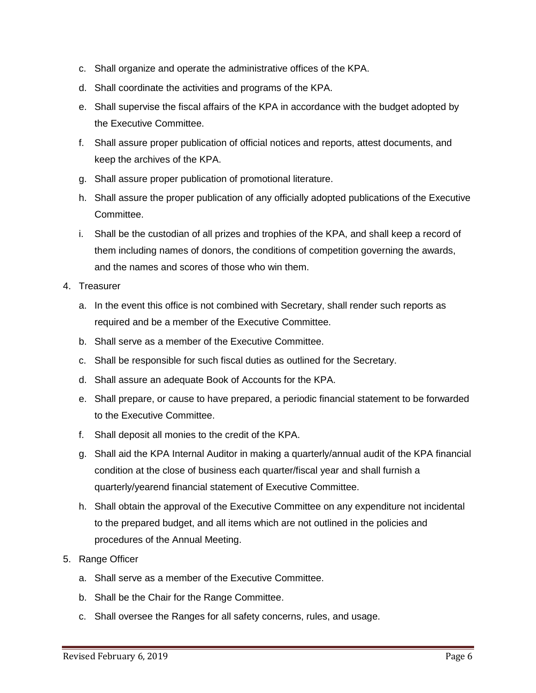- c. Shall organize and operate the administrative offices of the KPA.
- d. Shall coordinate the activities and programs of the KPA.
- e. Shall supervise the fiscal affairs of the KPA in accordance with the budget adopted by the Executive Committee.
- f. Shall assure proper publication of official notices and reports, attest documents, and keep the archives of the KPA.
- g. Shall assure proper publication of promotional literature.
- h. Shall assure the proper publication of any officially adopted publications of the Executive Committee.
- i. Shall be the custodian of all prizes and trophies of the KPA, and shall keep a record of them including names of donors, the conditions of competition governing the awards, and the names and scores of those who win them.
- 4. Treasurer
	- a. In the event this office is not combined with Secretary, shall render such reports as required and be a member of the Executive Committee.
	- b. Shall serve as a member of the Executive Committee.
	- c. Shall be responsible for such fiscal duties as outlined for the Secretary.
	- d. Shall assure an adequate Book of Accounts for the KPA.
	- e. Shall prepare, or cause to have prepared, a periodic financial statement to be forwarded to the Executive Committee.
	- f. Shall deposit all monies to the credit of the KPA.
	- g. Shall aid the KPA Internal Auditor in making a quarterly/annual audit of the KPA financial condition at the close of business each quarter/fiscal year and shall furnish a quarterly/yearend financial statement of Executive Committee.
	- h. Shall obtain the approval of the Executive Committee on any expenditure not incidental to the prepared budget, and all items which are not outlined in the policies and procedures of the Annual Meeting.
- 5. Range Officer
	- a. Shall serve as a member of the Executive Committee.
	- b. Shall be the Chair for the Range Committee.
	- c. Shall oversee the Ranges for all safety concerns, rules, and usage.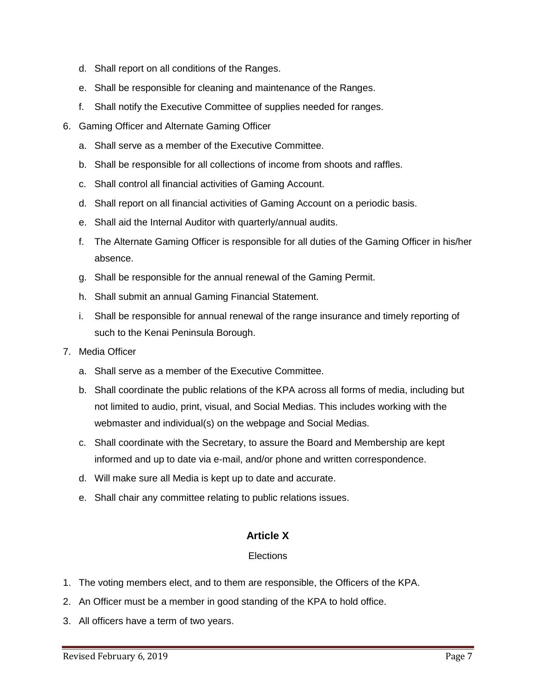- d. Shall report on all conditions of the Ranges.
- e. Shall be responsible for cleaning and maintenance of the Ranges.
- f. Shall notify the Executive Committee of supplies needed for ranges.
- 6. Gaming Officer and Alternate Gaming Officer
	- a. Shall serve as a member of the Executive Committee.
	- b. Shall be responsible for all collections of income from shoots and raffles.
	- c. Shall control all financial activities of Gaming Account.
	- d. Shall report on all financial activities of Gaming Account on a periodic basis.
	- e. Shall aid the Internal Auditor with quarterly/annual audits.
	- f. The Alternate Gaming Officer is responsible for all duties of the Gaming Officer in his/her absence.
	- g. Shall be responsible for the annual renewal of the Gaming Permit.
	- h. Shall submit an annual Gaming Financial Statement.
	- i. Shall be responsible for annual renewal of the range insurance and timely reporting of such to the Kenai Peninsula Borough.
- 7. Media Officer
	- a. Shall serve as a member of the Executive Committee.
	- b. Shall coordinate the public relations of the KPA across all forms of media, including but not limited to audio, print, visual, and Social Medias. This includes working with the webmaster and individual(s) on the webpage and Social Medias.
	- c. Shall coordinate with the Secretary, to assure the Board and Membership are kept informed and up to date via e-mail, and/or phone and written correspondence.
	- d. Will make sure all Media is kept up to date and accurate.
	- e. Shall chair any committee relating to public relations issues.

#### **Article X**

#### **Elections**

- 1. The voting members elect, and to them are responsible, the Officers of the KPA.
- 2. An Officer must be a member in good standing of the KPA to hold office.
- 3. All officers have a term of two years.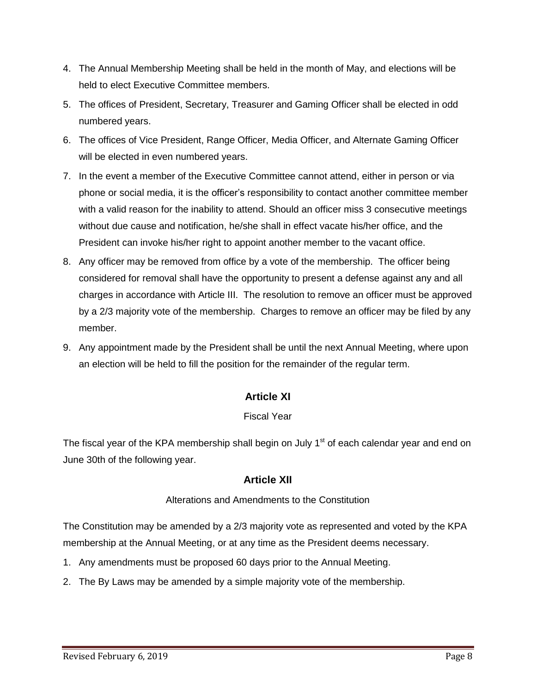- 4. The Annual Membership Meeting shall be held in the month of May, and elections will be held to elect Executive Committee members.
- 5. The offices of President, Secretary, Treasurer and Gaming Officer shall be elected in odd numbered years.
- 6. The offices of Vice President, Range Officer, Media Officer, and Alternate Gaming Officer will be elected in even numbered years.
- 7. In the event a member of the Executive Committee cannot attend, either in person or via phone or social media, it is the officer's responsibility to contact another committee member with a valid reason for the inability to attend. Should an officer miss 3 consecutive meetings without due cause and notification, he/she shall in effect vacate his/her office, and the President can invoke his/her right to appoint another member to the vacant office.
- 8. Any officer may be removed from office by a vote of the membership. The officer being considered for removal shall have the opportunity to present a defense against any and all charges in accordance with Article III. The resolution to remove an officer must be approved by a 2/3 majority vote of the membership. Charges to remove an officer may be filed by any member.
- 9. Any appointment made by the President shall be until the next Annual Meeting, where upon an election will be held to fill the position for the remainder of the regular term.

## **Article XI**

#### Fiscal Year

The fiscal year of the KPA membership shall begin on July 1<sup>st</sup> of each calendar year and end on June 30th of the following year.

#### **Article XII**

#### Alterations and Amendments to the Constitution

The Constitution may be amended by a 2/3 majority vote as represented and voted by the KPA membership at the Annual Meeting, or at any time as the President deems necessary.

- 1. Any amendments must be proposed 60 days prior to the Annual Meeting.
- 2. The By Laws may be amended by a simple majority vote of the membership.